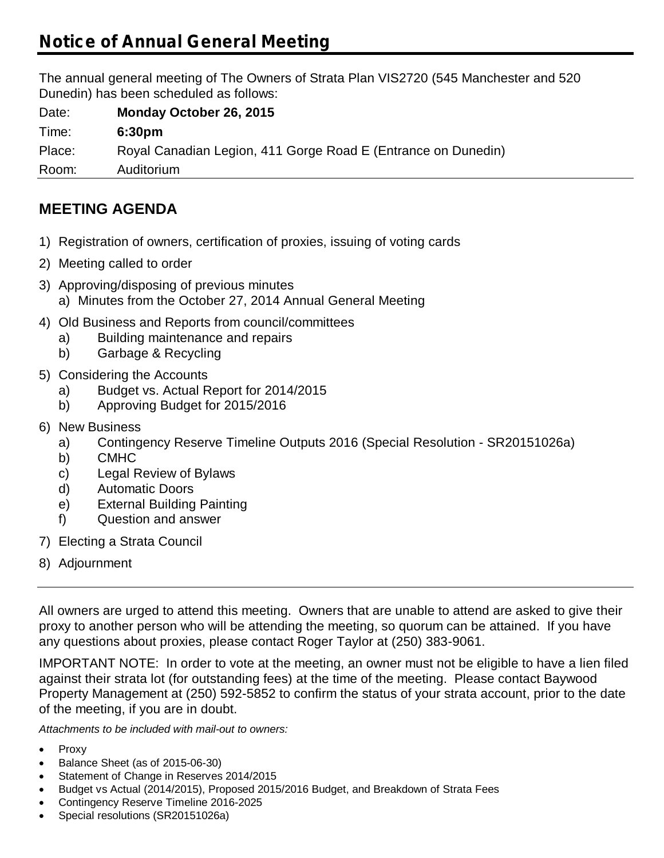# **Notice of Annual General Meeting**

The annual general meeting of The Owners of Strata Plan VIS2720 (545 Manchester and 520 Dunedin) has been scheduled as follows:

Date: **Monday October 26, 2015** Time: **6:30pm** Place: Royal Canadian Legion, 411 Gorge Road E (Entrance on Dunedin) Room: Auditorium

## **MEETING AGENDA**

- 1) Registration of owners, certification of proxies, issuing of voting cards
- 2) Meeting called to order
- 3) Approving/disposing of previous minutes a) Minutes from the October 27, 2014 Annual General Meeting
- 4) Old Business and Reports from council/committees
	- a) Building maintenance and repairs
	- b) Garbage & Recycling
- 5) Considering the Accounts
	- a) Budget vs. Actual Report for 2014/2015
	- b) Approving Budget for 2015/2016
- 6) New Business
	- a) Contingency Reserve Timeline Outputs 2016 (Special Resolution SR20151026a)
	- b) CMHC
	- c) Legal Review of Bylaws
	- d) Automatic Doors
	- e) External Building Painting
	- f) Question and answer
- 7) Electing a Strata Council
- 8) Adjournment

All owners are urged to attend this meeting. Owners that are unable to attend are asked to give their proxy to another person who will be attending the meeting, so quorum can be attained. If you have any questions about proxies, please contact Roger Taylor at (250) 383-9061.

IMPORTANT NOTE: In order to vote at the meeting, an owner must not be eligible to have a lien filed against their strata lot (for outstanding fees) at the time of the meeting. Please contact Baywood Property Management at (250) 592-5852 to confirm the status of your strata account, prior to the date of the meeting, if you are in doubt.

*Attachments to be included with mail-out to owners:*

- Proxy
- Balance Sheet (as of 2015-06-30)
- Statement of Change in Reserves 2014/2015
- Budget vs Actual (2014/2015), Proposed 2015/2016 Budget, and Breakdown of Strata Fees
- Contingency Reserve Timeline 2016-2025
- Special resolutions (SR20151026a)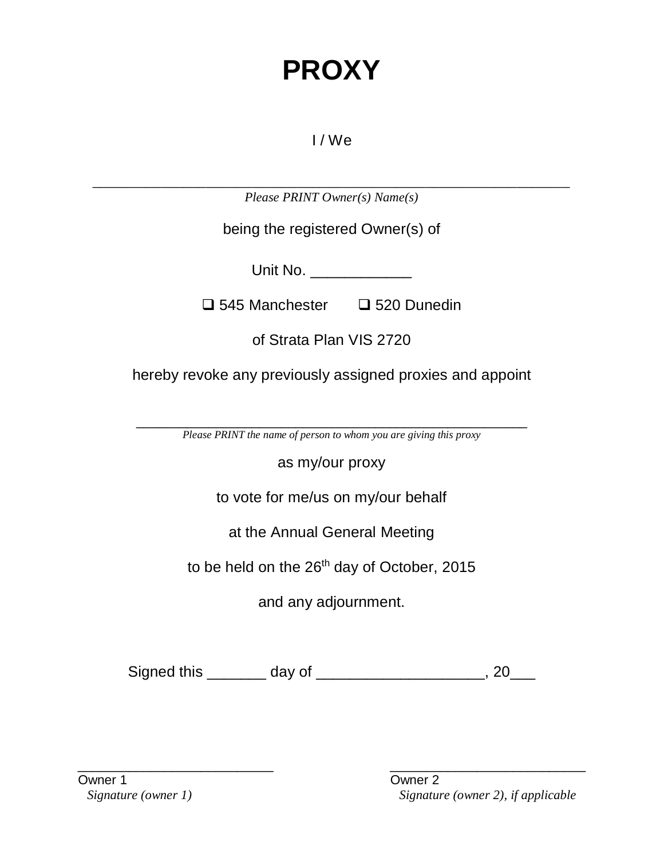# **PROXY**

## I / We

\_\_\_\_\_\_\_\_\_\_\_\_\_\_\_\_\_\_\_\_\_\_\_\_\_\_\_\_\_\_\_\_\_\_\_\_\_\_\_\_\_\_\_\_\_\_\_\_\_\_\_\_\_\_\_\_\_\_\_\_\_\_\_ *Please PRINT Owner(s) Name(s)*

being the registered Owner(s) of

Unit No.

 $\Box$  545 Manchester  $\Box$  520 Dunedin

of Strata Plan VIS 2720

hereby revoke any previously assigned proxies and appoint

\_\_\_\_\_\_\_\_\_\_\_\_\_\_\_\_\_\_\_\_\_\_\_\_\_\_\_\_\_\_\_\_\_\_\_\_\_\_\_\_\_\_\_\_\_\_\_\_\_\_\_\_\_\_ *Please PRINT the name of person to whom you are giving this proxy*

as my/our proxy

to vote for me/us on my/our behalf

at the Annual General Meeting

to be held on the 26<sup>th</sup> day of October, 2015

and any adjournment.

Signed this \_\_\_\_\_\_\_ day of \_\_\_\_\_\_\_\_\_\_\_\_\_\_\_\_\_\_\_\_, 20\_\_\_

Owner 1 Owner 2

\_\_\_\_\_\_\_\_\_\_\_\_\_\_\_\_\_\_\_\_\_\_\_\_\_\_\_ \_\_\_\_\_\_\_\_\_\_\_\_\_\_\_\_\_\_\_\_\_\_\_\_\_\_\_ *Signature (owner 1) Signature (owner 2), if applicable*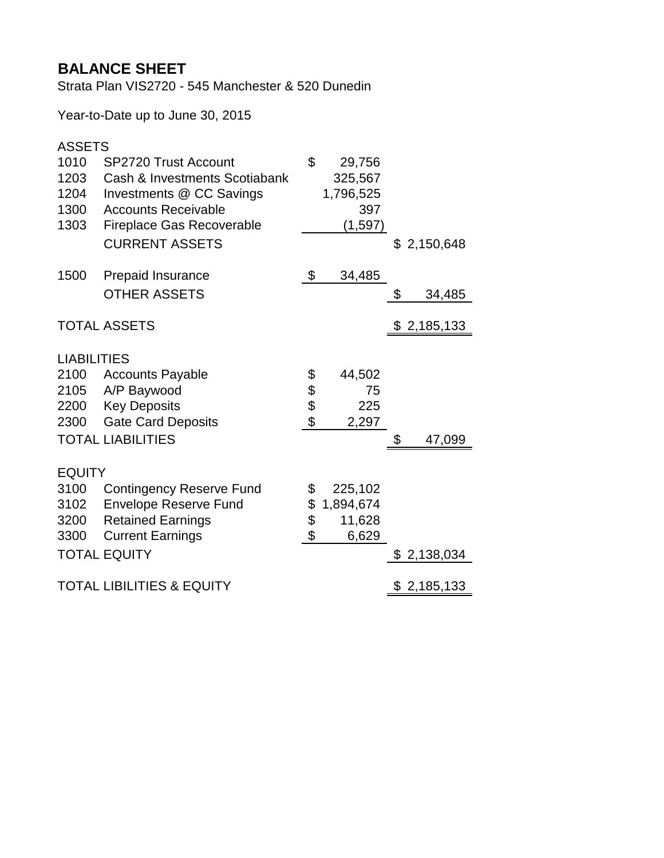## **BALANCE SHEET**

Strata Plan VIS2720 - 545 Manchester & 520 Dunedin

Year-to-Date up to June 30, 2015

| <b>ASSETS</b>      |                                      |                            |           |                 |
|--------------------|--------------------------------------|----------------------------|-----------|-----------------|
| 1010               | <b>SP2720 Trust Account</b>          | \$                         | 29,756    |                 |
| 1203               | Cash & Investments Scotiabank        |                            | 325,567   |                 |
| 1204               | Investments @ CC Savings             |                            | 1,796,525 |                 |
| 1300               | <b>Accounts Receivable</b>           |                            | 397       |                 |
| 1303               | <b>Fireplace Gas Recoverable</b>     |                            | (1, 597)  |                 |
|                    | <b>CURRENT ASSETS</b>                |                            |           | \$2,150,648     |
| 1500               | Prepaid Insurance                    | $\boldsymbol{\mathsf{\$}}$ | 34,485    |                 |
|                    | <b>OTHER ASSETS</b>                  |                            |           | \$<br>34,485    |
|                    | <b>TOTAL ASSETS</b>                  |                            |           | \$2,185,133     |
| <b>LIABILITIES</b> |                                      |                            |           |                 |
| 2100               | <b>Accounts Payable</b>              | \$                         | 44,502    |                 |
|                    | 2105 A/P Baywood                     |                            | 75        |                 |
|                    | 2200 Key Deposits                    | \$\$                       | 225       |                 |
| 2300               | <b>Gate Card Deposits</b>            |                            | 2,297     |                 |
|                    | <b>TOTAL LIABILITIES</b>             |                            |           | \$<br>47,099    |
| <b>EQUITY</b>      |                                      |                            |           |                 |
| 3100               | <b>Contingency Reserve Fund</b>      | \$                         | 225,102   |                 |
| 3102               | <b>Envelope Reserve Fund</b>         | \$                         | 1,894,674 |                 |
| 3200               | <b>Retained Earnings</b>             | \$                         | 11,628    |                 |
| 3300               | <b>Current Earnings</b>              | \$                         | 6,629     |                 |
|                    | <b>TOTAL EQUITY</b>                  |                            |           | \$<br>2,138,034 |
|                    | <b>TOTAL LIBILITIES &amp; EQUITY</b> |                            |           | \$2,185,133     |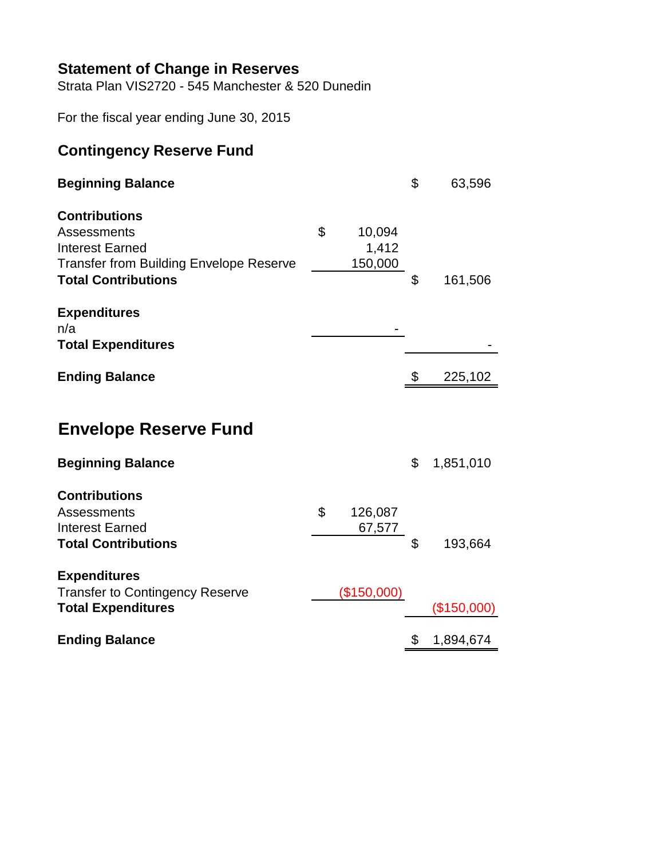### **Statement of Change in Reserves**

Strata Plan VIS2720 - 545 Manchester & 520 Dunedin

For the fiscal year ending June 30, 2015

## **Contingency Reserve Fund**

| <b>Beginning Balance</b>                                                                                                                      |                                  | \$<br>63,596    |
|-----------------------------------------------------------------------------------------------------------------------------------------------|----------------------------------|-----------------|
| <b>Contributions</b><br>Assessments<br><b>Interest Earned</b><br><b>Transfer from Building Envelope Reserve</b><br><b>Total Contributions</b> | \$<br>10,094<br>1,412<br>150,000 | \$<br>161,506   |
| <b>Expenditures</b><br>n/a<br><b>Total Expenditures</b>                                                                                       |                                  |                 |
| <b>Ending Balance</b>                                                                                                                         |                                  | \$<br>225,102   |
| <b>Envelope Reserve Fund</b><br><b>Beginning Balance</b>                                                                                      |                                  | \$<br>1,851,010 |
| <b>Contributions</b><br>Assessments<br><b>Interest Earned</b><br><b>Total Contributions</b>                                                   | \$<br>126,087<br>67,577          | \$<br>193,664   |
| <b>Expenditures</b><br><b>Transfer to Contingency Reserve</b><br><b>Total Expenditures</b>                                                    | (\$150,000)                      | (\$150,000)     |
| <b>Ending Balance</b>                                                                                                                         |                                  | \$<br>1,894,674 |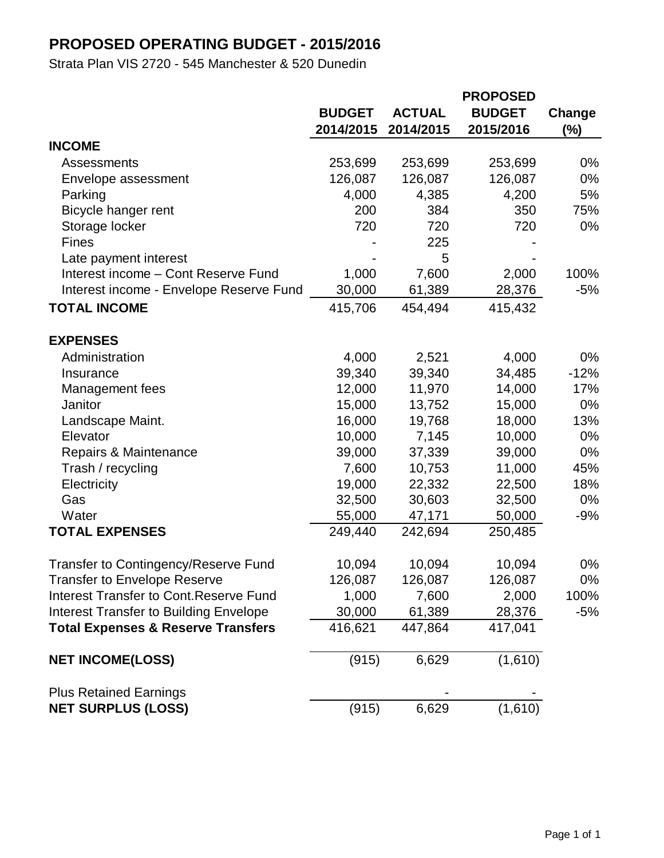## **PROPOSED OPERATING BUDGET - 2015/2016**

Strata Plan VIS 2720 - 545 Manchester & 520 Dunedin

|                                                |               |               | <b>PROPOSED</b> |        |
|------------------------------------------------|---------------|---------------|-----------------|--------|
|                                                | <b>BUDGET</b> | <b>ACTUAL</b> | <b>BUDGET</b>   | Change |
|                                                | 2014/2015     | 2014/2015     | 2015/2016       | $(\%)$ |
| <b>INCOME</b>                                  |               |               |                 |        |
| Assessments                                    | 253,699       | 253,699       | 253,699         | $0\%$  |
| Envelope assessment                            | 126,087       | 126,087       | 126,087         | $0\%$  |
| Parking                                        | 4,000         | 4,385         | 4,200           | 5%     |
| Bicycle hanger rent                            | 200           | 384           | 350             | 75%    |
| Storage locker                                 | 720           | 720           | 720             | $0\%$  |
| <b>Fines</b>                                   |               | 225           |                 |        |
| Late payment interest                          |               | 5             |                 |        |
| Interest income - Cont Reserve Fund            | 1,000         | 7,600         | 2,000           | 100%   |
| Interest income - Envelope Reserve Fund        | 30,000        | 61,389        | 28,376          | -5%    |
| <b>TOTAL INCOME</b>                            | 415,706       | 454,494       | 415,432         |        |
| <b>EXPENSES</b>                                |               |               |                 |        |
| Administration                                 | 4,000         | 2,521         | 4,000           | 0%     |
| Insurance                                      | 39,340        | 39,340        | 34,485          | $-12%$ |
| Management fees                                | 12,000        | 11,970        | 14,000          | 17%    |
| Janitor                                        | 15,000        | 13,752        | 15,000          | $0\%$  |
| Landscape Maint.                               | 16,000        | 19,768        | 18,000          | 13%    |
| Elevator                                       | 10,000        | 7,145         | 10,000          | $0\%$  |
| Repairs & Maintenance                          | 39,000        | 37,339        | 39,000          | $0\%$  |
| Trash / recycling                              | 7,600         | 10,753        | 11,000          | 45%    |
| Electricity                                    | 19,000        | 22,332        | 22,500          | 18%    |
| Gas                                            | 32,500        | 30,603        | 32,500          | $0\%$  |
| Water                                          | 55,000        | 47,171        | 50,000          | $-9%$  |
| <b>TOTAL EXPENSES</b>                          | 249,440       | 242,694       | 250,485         |        |
| Transfer to Contingency/Reserve Fund           | 10,094        | 10,094        | 10,094          | 0%     |
| <b>Transfer to Envelope Reserve</b>            | 126,087       | 126,087       | 126,087         | 0%     |
| <b>Interest Transfer to Cont. Reserve Fund</b> | 1,000         | 7,600         | 2,000           | 100%   |
| <b>Interest Transfer to Building Envelope</b>  | 30,000        | 61,389        | 28,376          | -5%    |
| <b>Total Expenses &amp; Reserve Transfers</b>  | 416,621       | 447,864       | 417,041         |        |
| <b>NET INCOME(LOSS)</b>                        | (915)         | 6,629         | (1,610)         |        |
| <b>Plus Retained Earnings</b>                  |               |               |                 |        |
| <b>NET SURPLUS (LOSS)</b>                      | (915)         | 6,629         | (1,610)         |        |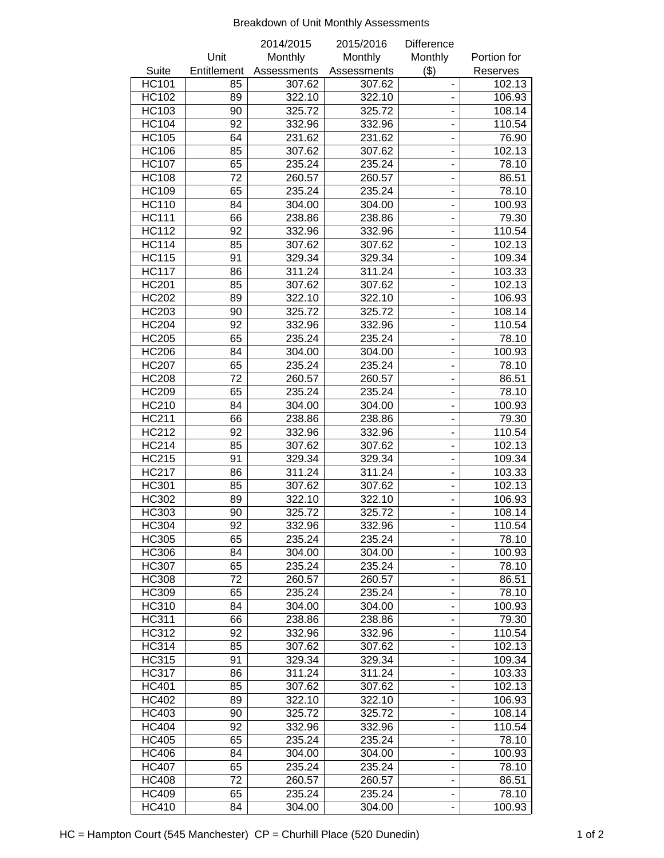#### Breakdown of Unit Monthly Assessments

|              |             | 2014/2015   | 2015/2016   | <b>Difference</b>            |             |
|--------------|-------------|-------------|-------------|------------------------------|-------------|
|              | Unit        | Monthly     | Monthly     | Monthly                      | Portion for |
| Suite        | Entitlement | Assessments | Assessments | (3)                          | Reserves    |
| <b>HC101</b> | 85          | 307.62      | 307.62      |                              | 102.13      |
| <b>HC102</b> | 89          | 322.10      | 322.10      | $\overline{a}$               | 106.93      |
| <b>HC103</b> | 90          | 325.72      | 325.72      |                              | 108.14      |
| <b>HC104</b> | 92          | 332.96      | 332.96      |                              | 110.54      |
| <b>HC105</b> | 64          | 231.62      | 231.62      | ÷,                           | 76.90       |
| <b>HC106</b> | 85          | 307.62      | 307.62      | $\frac{1}{2}$                | 102.13      |
| <b>HC107</b> | 65          | 235.24      | 235.24      |                              | 78.10       |
| <b>HC108</b> | 72          | 260.57      | 260.57      | $\overline{a}$               | 86.51       |
| <b>HC109</b> | 65          | 235.24      | 235.24      | $\qquad \qquad \blacksquare$ | 78.10       |
| <b>HC110</b> | 84          | 304.00      | 304.00      | $\frac{1}{2}$                | 100.93      |
| <b>HC111</b> | 66          | 238.86      | 238.86      | $\frac{1}{2}$                | 79.30       |
| <b>HC112</b> | 92          | 332.96      | 332.96      |                              | 110.54      |
| <b>HC114</b> | 85          | 307.62      | 307.62      |                              | 102.13      |
| <b>HC115</b> | 91          | 329.34      | 329.34      |                              | 109.34      |
| <b>HC117</b> | 86          | 311.24      | 311.24      |                              | 103.33      |
| <b>HC201</b> | 85          | 307.62      | 307.62      | $\overline{a}$               | 102.13      |
| <b>HC202</b> |             |             | 322.10      |                              |             |
|              | 89          | 322.10      |             |                              | 106.93      |
| <b>HC203</b> | 90          | 325.72      | 325.72      | $\qquad \qquad \blacksquare$ | 108.14      |
| <b>HC204</b> | 92          | 332.96      | 332.96      |                              | 110.54      |
| <b>HC205</b> | 65          | 235.24      | 235.24      |                              | 78.10       |
| <b>HC206</b> | 84          | 304.00      | 304.00      |                              | 100.93      |
| <b>HC207</b> | 65          | 235.24      | 235.24      | $\frac{1}{2}$                | 78.10       |
| <b>HC208</b> | 72          | 260.57      | 260.57      | $\frac{1}{2}$                | 86.51       |
| <b>HC209</b> | 65          | 235.24      | 235.24      |                              | 78.10       |
| <b>HC210</b> | 84          | 304.00      | 304.00      |                              | 100.93      |
| <b>HC211</b> | 66          | 238.86      | 238.86      | $\blacksquare$               | 79.30       |
| <b>HC212</b> | 92          | 332.96      | 332.96      | $\overline{\phantom{0}}$     | 110.54      |
| <b>HC214</b> | 85          | 307.62      | 307.62      | $\blacksquare$               | 102.13      |
| <b>HC215</b> | 91          | 329.34      | 329.34      |                              | 109.34      |
| <b>HC217</b> | 86          | 311.24      | 311.24      |                              | 103.33      |
| <b>HC301</b> | 85          | 307.62      | 307.62      |                              | 102.13      |
| <b>HC302</b> | 89          | 322.10      | 322.10      |                              | 106.93      |
| <b>HC303</b> | 90          | 325.72      | 325.72      | $\overline{a}$               | 108.14      |
| <b>HC304</b> | 92          | 332.96      | 332.96      | -                            | 110.54      |
| HC305        | 65          | 235.24      | 235.24      |                              | 78.10       |
| <b>HC306</b> | 84          | 304.00      | 304.00      |                              | 100.93      |
| <b>HC307</b> | 65          | 235.24      | 235.24      | $\qquad \qquad \blacksquare$ | 78.10       |
| <b>HC308</b> | 72          | 260.57      | 260.57      | -                            | 86.51       |
| HC309        | 65          | 235.24      | 235.24      | ۰                            | 78.10       |
| HC310        | 84          | 304.00      | 304.00      | ۰                            | 100.93      |
| <b>HC311</b> | 66          | 238.86      | 238.86      | -                            | 79.30       |
| HC312        | 92          | 332.96      | 332.96      |                              | 110.54      |
| <b>HC314</b> | 85          | 307.62      | 307.62      | -                            | 102.13      |
| <b>HC315</b> | 91          | 329.34      | 329.34      | $\blacksquare$               | 109.34      |
| <b>HC317</b> | 86          | 311.24      | 311.24      |                              | 103.33      |
| <b>HC401</b> | 85          | 307.62      | 307.62      |                              | 102.13      |
| <b>HC402</b> | 89          | 322.10      | 322.10      | $\qquad \qquad \blacksquare$ | 106.93      |
| <b>HC403</b> | 90          | 325.72      | 325.72      | $\qquad \qquad \blacksquare$ | 108.14      |
| <b>HC404</b> | 92          | 332.96      | 332.96      |                              | 110.54      |
|              |             |             |             |                              |             |
| <b>HC405</b> | 65          | 235.24      | 235.24      |                              | 78.10       |
| <b>HC406</b> | 84          | 304.00      | 304.00      |                              | 100.93      |
| <b>HC407</b> | 65          | 235.24      | 235.24      | ۰                            | 78.10       |
| <b>HC408</b> | 72          | 260.57      | 260.57      |                              | 86.51       |
| <b>HC409</b> | 65          | 235.24      | 235.24      | -                            | 78.10       |
| <b>HC410</b> | 84          | 304.00      | 304.00      | -                            | 100.93      |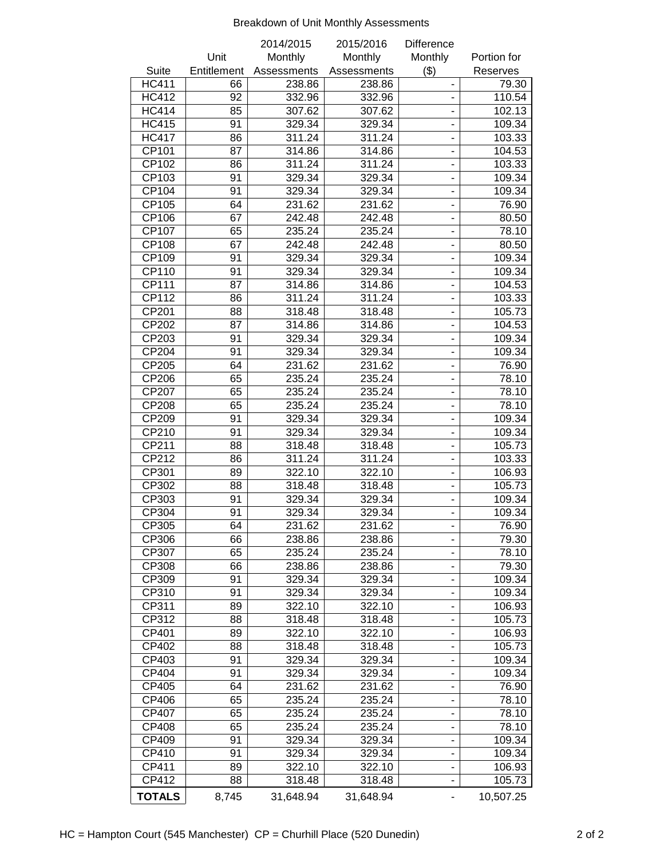#### Breakdown of Unit Monthly Assessments

|               |             | 2014/2015   | 2015/2016   | <b>Difference</b>            |             |
|---------------|-------------|-------------|-------------|------------------------------|-------------|
|               | Unit        | Monthly     | Monthly     | Monthly                      | Portion for |
| <b>Suite</b>  | Entitlement | Assessments | Assessments | (3)                          | Reserves    |
| <b>HC411</b>  | 66          | 238.86      | 238.86      |                              | 79.30       |
| <b>HC412</b>  | 92          | 332.96      | 332.96      |                              | 110.54      |
| <b>HC414</b>  | 85          | 307.62      | 307.62      |                              | 102.13      |
| <b>HC415</b>  | 91          | 329.34      | 329.34      | $\frac{1}{2}$                | 109.34      |
| <b>HC417</b>  | 86          | 311.24      | 311.24      | $\qquad \qquad \blacksquare$ | 103.33      |
| CP101         | 87          | 314.86      | 314.86      | $\overline{\phantom{0}}$     | 104.53      |
| CP102         | 86          | 311.24      | 311.24      | $\blacksquare$               | 103.33      |
| CP103         | 91          | 329.34      | 329.34      |                              | 109.34      |
| CP104         | 91          | 329.34      | 329.34      |                              | 109.34      |
| CP105         | 64          | 231.62      | 231.62      |                              | 76.90       |
| CP106         | 67          | 242.48      | 242.48      |                              | 80.50       |
| CP107         | 65          | 235.24      | 235.24      |                              | 78.10       |
| CP108         | 67          | 242.48      | 242.48      |                              | 80.50       |
| CP109         | 91          | 329.34      | 329.34      | $\frac{1}{2}$                | 109.34      |
| CP110         | 91          | 329.34      | 329.34      |                              | 109.34      |
| <b>CP111</b>  | 87          | 314.86      | 314.86      |                              | 104.53      |
| CP112         | 86          | 311.24      | 311.24      |                              | 103.33      |
| CP201         | 88          | 318.48      | 318.48      | $\overline{\phantom{0}}$     | 105.73      |
| CP202         | 87          | 314.86      | 314.86      |                              | 104.53      |
| CP203         | 91          | 329.34      | 329.34      | $\qquad \qquad \blacksquare$ | 109.34      |
| CP204         | 91          | 329.34      | 329.34      |                              | 109.34      |
| CP205         | 64          | 231.62      | 231.62      | $\frac{1}{2}$                | 76.90       |
| CP206         | 65          | 235.24      | 235.24      | $\overline{\phantom{0}}$     | 78.10       |
| CP207         | 65          | 235.24      | 235.24      | $\blacksquare$               | 78.10       |
| CP208         | 65          | 235.24      | 235.24      | $\overline{\phantom{0}}$     | 78.10       |
| CP209         | 91          | 329.34      | 329.34      |                              | 109.34      |
| CP210         | 91          | 329.34      | 329.34      | ä,                           | 109.34      |
| CP211         | 88          | 318.48      | 318.48      |                              | 105.73      |
| CP212         | 86          | 311.24      | 311.24      |                              | 103.33      |
| CP301         | 89          | 322.10      | 322.10      | $\blacksquare$               | 106.93      |
| CP302         | 88          | 318.48      | 318.48      | $\frac{1}{2}$                | 105.73      |
| CP303         | 91          | 329.34      | 329.34      |                              | 109.34      |
| CP304         | 91          | 329.34      | 329.34      | $\frac{1}{2}$                | 109.34      |
| CP305         | 64          | 231.62      | 231.62      | ۰                            | 76.90       |
| CP306         | 66          | 238.86      | 238.86      | -                            | 79.30       |
| CP307         | 65          | 235.24      | 235.24      | -                            | 78.10       |
| CP308         | 66          | 238.86      | 238.86      | $\overline{\phantom{0}}$     | 79.30       |
| CP309         | 91          | 329.34      | 329.34      | ۰                            | 109.34      |
| CP310         | 91          | 329.34      | 329.34      | ۰                            | 109.34      |
| CP311         | 89          | 322.10      | 322.10      | $\overline{\phantom{a}}$     | 106.93      |
| CP312         | 88          | 318.48      | 318.48      |                              | 105.73      |
| CP401         | 89          | 322.10      | 322.10      |                              | 106.93      |
| CP402         | 88          | 318.48      | 318.48      | $\overline{\phantom{0}}$     | 105.73      |
| CP403         | 91          | 329.34      | 329.34      | $\qquad \qquad \blacksquare$ | 109.34      |
| CP404         | 91          | 329.34      | 329.34      |                              | 109.34      |
| CP405         | 64          | 231.62      | 231.62      |                              | 76.90       |
| CP406         | 65          | 235.24      | 235.24      | -                            | 78.10       |
| CP407         | 65          | 235.24      | 235.24      | -                            | 78.10       |
| CP408         | 65          | 235.24      | 235.24      |                              | 78.10       |
| CP409         | 91          | 329.34      | 329.34      | $\qquad \qquad \blacksquare$ | 109.34      |
| CP410         | 91          |             |             |                              |             |
|               |             | 329.34      | 329.34      | -                            | 109.34      |
| CP411         | 89          | 322.10      | 322.10      | ۰                            | 106.93      |
| CP412         | 88          | 318.48      | 318.48      |                              | 105.73      |
| <b>TOTALS</b> | 8,745       | 31,648.94   | 31,648.94   |                              | 10,507.25   |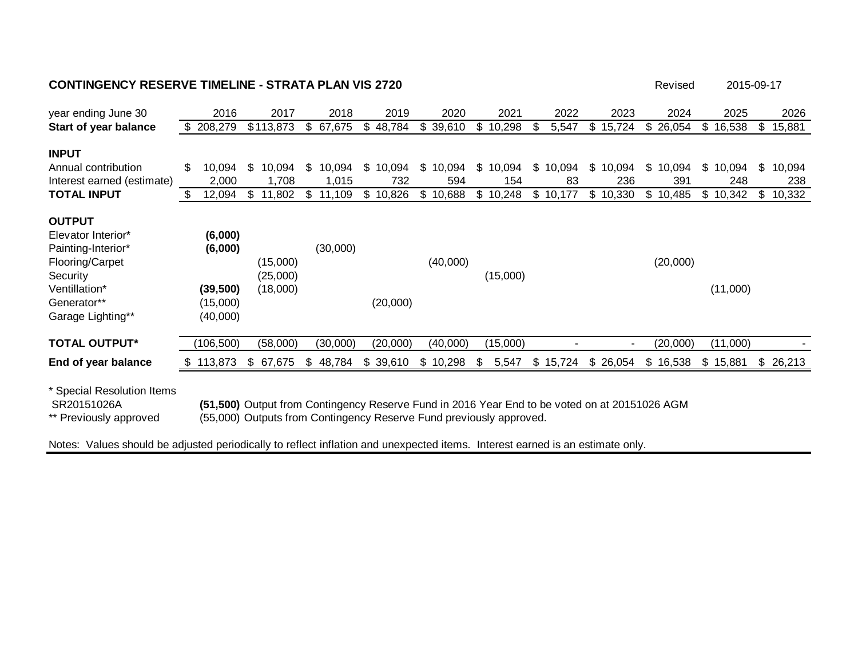#### **CONTINGENCY RESERVE TIMELINE - STRATA PLAN VIS 2720 Revised** Revised

| year ending June 30                                                                                                                           |     | 2016                                                    | 2017                             | 2018         | 2019         |     | 2020     |     | 2021     |                | 2022   | 2023                  |    | 2024     |     | 2025     |     | 2026   |
|-----------------------------------------------------------------------------------------------------------------------------------------------|-----|---------------------------------------------------------|----------------------------------|--------------|--------------|-----|----------|-----|----------|----------------|--------|-----------------------|----|----------|-----|----------|-----|--------|
| Start of year balance                                                                                                                         |     | \$208,279                                               | \$113,873                        | \$<br>67,675 | \$<br>48,784 | S   | 39,610   | S.  | 10,298   | -SS            | 5,547  | \$<br>15,724          | S  | 26,054   | S.  | 16,538   | \$. | 15,881 |
| <b>INPUT</b>                                                                                                                                  |     |                                                         |                                  |              |              |     |          |     |          |                |        |                       |    |          |     |          |     |        |
| Annual contribution                                                                                                                           | \$  | 10,094                                                  | \$<br>10,094                     | \$<br>10,094 | \$<br>10,094 | \$  | 10,094   | \$  | 10,094   | \$             | 10,094 | \$<br>10,094          | \$ | 10,094   | \$  | 10,094   | \$. | 10,094 |
| Interest earned (estimate)                                                                                                                    |     | 2,000                                                   | 1,708                            | 1,015        | 732          |     | 594      |     | 154      |                | 83     | 236                   |    | 391      |     | 248      |     | 238    |
| <b>TOTAL INPUT</b>                                                                                                                            | \$. | 12,094                                                  | \$<br>11,802                     | \$<br>11,109 | \$<br>10,826 | \$. | 10,688   | \$. | 10,248   | \$             | 10,177 | \$<br>10,330          | \$ | 10,485   | \$. | 10,342   | S.  | 10,332 |
| <b>OUTPUT</b><br>Elevator Interior*<br>Painting-Interior*<br>Flooring/Carpet<br>Security<br>Ventillation*<br>Generator**<br>Garage Lighting** |     | (6,000)<br>(6,000)<br>(39, 500)<br>(15,000)<br>(40,000) | (15,000)<br>(25,000)<br>(18,000) | (30,000)     | (20,000)     |     | (40,000) |     | (15,000) |                |        |                       |    | (20,000) |     | (11,000) |     |        |
| <b>TOTAL OUTPUT*</b>                                                                                                                          |     | (106, 500)                                              | (58,000)                         | (30,000)     | (20,000)     |     | (40,000) |     | (15,000) |                |        | $\tilde{\phantom{a}}$ |    | (20,000) |     | (11,000) |     |        |
| End of year balance                                                                                                                           | Ж.  | 113,873                                                 | \$<br>67,675                     | \$<br>48,784 | \$<br>39,610 | S.  | 10,298   | S   | 5,547    | $\mathfrak{S}$ | 15,724 | \$<br>26,054          |    | \$16,538 | \$  | 15,881   | \$  | 26,213 |
|                                                                                                                                               |     |                                                         |                                  |              |              |     |          |     |          |                |        |                       |    |          |     |          |     |        |

2015-09-17

\* Special Resolution Items

SR20151026A **(51,500)** Output from Contingency Reserve Fund in 2016 Year End to be voted on at 20151026 AGM

(55,000) Outputs from Contingency Reserve Fund previously approved.

Notes: Values should be adjusted periodically to reflect inflation and unexpected items. Interest earned is an estimate only.